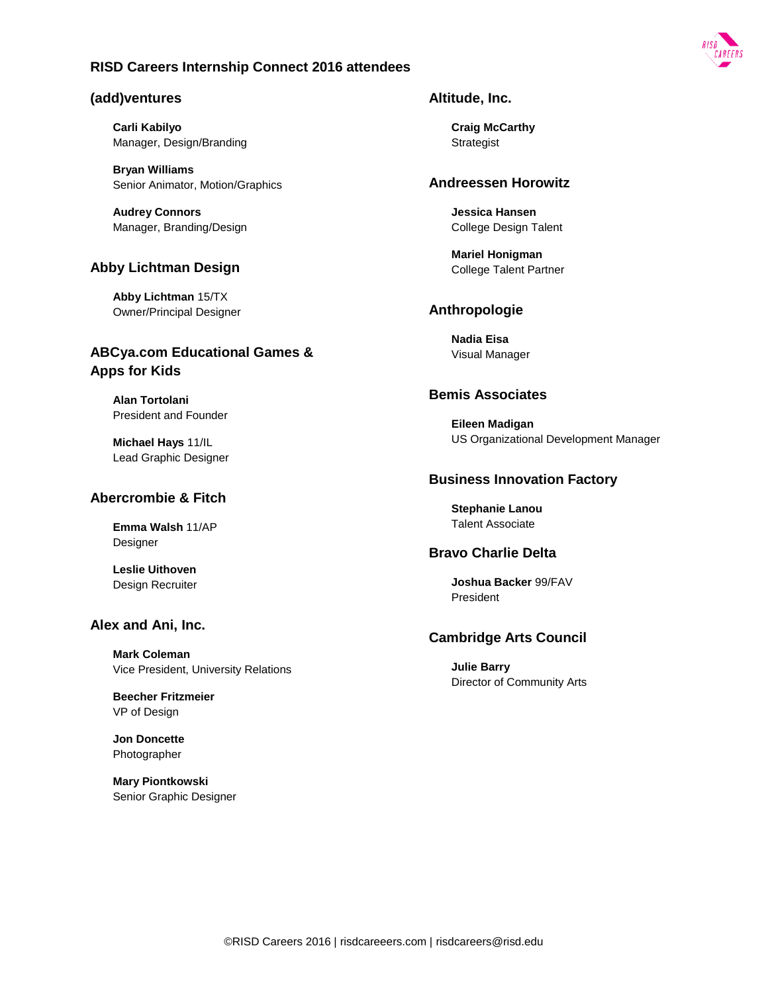### **(add)ventures**

**Carli Kabilyo** Manager, Design/Branding

**Bryan Williams** Senior Animator, Motion/Graphics

**Audrey Connors** Manager, Branding/Design

### **Abby Lichtman Design**

**Abby Lichtman** 15/TX Owner/Principal Designer

## **ABCya.com Educational Games & Apps for Kids**

**Alan Tortolani** President and Founder

**Michael Hays** 11/IL Lead Graphic Designer

#### **Abercrombie & Fitch**

**Emma Walsh** 11/AP Designer

**Leslie Uithoven** Design Recruiter

### **Alex and Ani, Inc.**

**Mark Coleman** Vice President, University Relations

**Beecher Fritzmeier** VP of Design

**Jon Doncette** Photographer

**Mary Piontkowski** Senior Graphic Designer

#### **Altitude, Inc.**

**Craig McCarthy** Strategist

#### **Andreessen Horowitz**

**Jessica Hansen** College Design Talent

**Mariel Honigman** College Talent Partner

### **Anthropologie**

**Nadia Eisa** Visual Manager

#### **Bemis Associates**

**Eileen Madigan** US Organizational Development Manager

#### **Business Innovation Factory**

**Stephanie Lanou** Talent Associate

### **Bravo Charlie Delta**

**Joshua Backer** 99/FAV President

## **Cambridge Arts Council**

**Julie Barry** Director of Community Arts

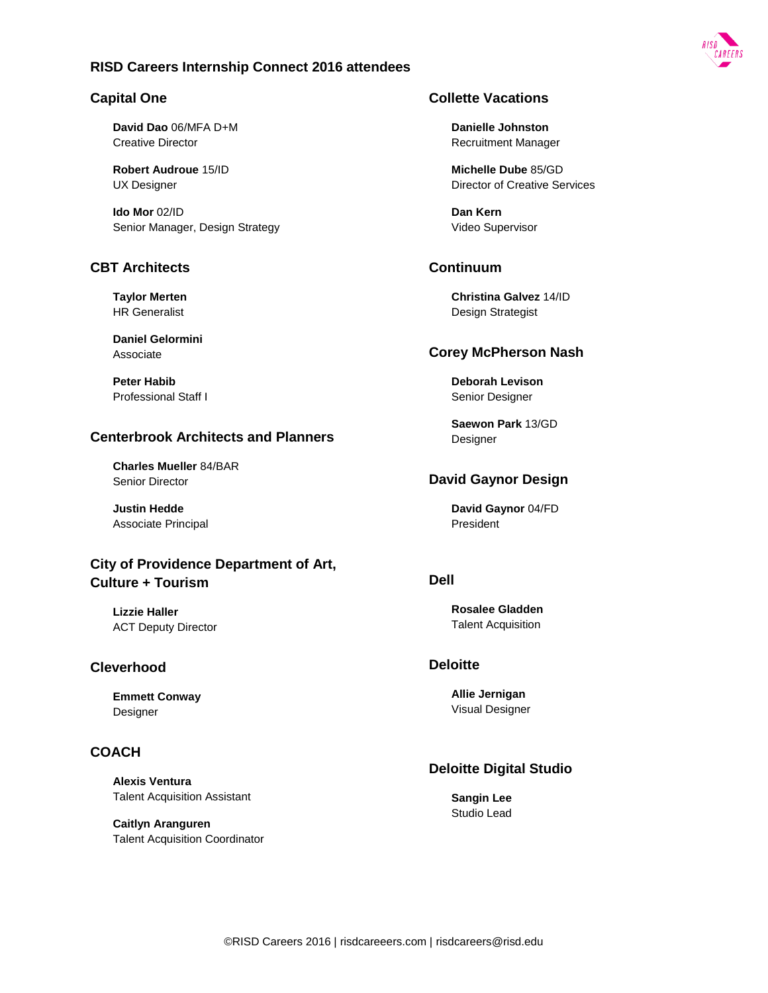

### **Capital One**

**David Dao** 06/MFA D+M Creative Director

**Robert Audroue** 15/ID UX Designer

**Ido Mor** 02/ID Senior Manager, Design Strategy

### **CBT Architects**

**Taylor Merten** HR Generalist

**Daniel Gelormini** Associate

**Peter Habib** Professional Staff I

## **Centerbrook Architects and Planners**

**Charles Mueller** 84/BAR Senior Director

**Justin Hedde** Associate Principal

# **City of Providence Department of Art, Culture + Tourism**

**Lizzie Haller** ACT Deputy Director

#### **Cleverhood**

**Emmett Conway** Designer

### **COACH**

**Alexis Ventura** Talent Acquisition Assistant

**Caitlyn Aranguren** Talent Acquisition Coordinator

## **Collette Vacations**

**Danielle Johnston** Recruitment Manager

**Michelle Dube** 85/GD Director of Creative Services

**Dan Kern** Video Supervisor

### **Continuum**

**Christina Galvez** 14/ID Design Strategist

#### **Corey McPherson Nash**

**Deborah Levison** Senior Designer

**Saewon Park** 13/GD **Designer** 

## **David Gaynor Design**

**David Gaynor** 04/FD President

### **Dell**

**Rosalee Gladden** Talent Acquisition

### **Deloitte**

**Allie Jernigan** Visual Designer

## **Deloitte Digital Studio**

**Sangin Lee** Studio Lead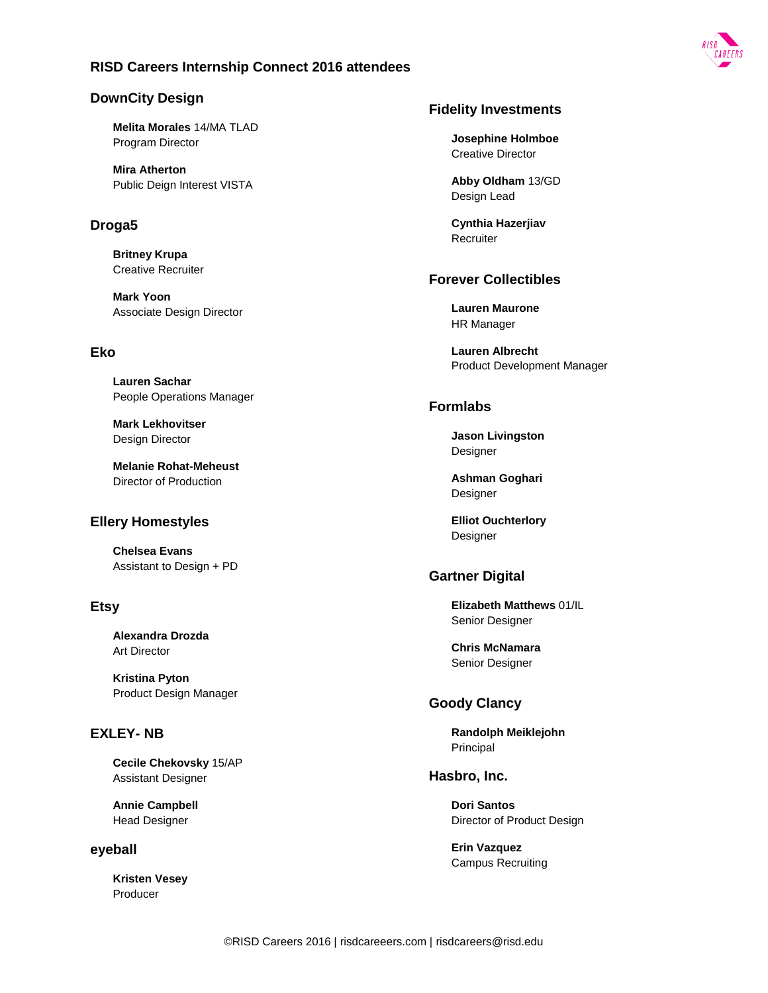

## **DownCity Design**

**Melita Morales** 14/MA TLAD Program Director

**Mira Atherton** Public Deign Interest VISTA

## **Droga5**

**Britney Krupa** Creative Recruiter

**Mark Yoon** Associate Design Director

## **Eko**

**Lauren Sachar** People Operations Manager

**Mark Lekhovitser** Design Director

**Melanie Rohat-Meheust** Director of Production

## **Ellery Homestyles**

**Chelsea Evans** Assistant to Design + PD

## **Etsy**

**Alexandra Drozda** Art Director

**Kristina Pyton** Product Design Manager

# **EXLEY- NB**

**Cecile Chekovsky** 15/AP Assistant Designer

**Annie Campbell** Head Designer

#### **eyeball**

**Kristen Vesey** Producer

### **Fidelity Investments**

**Josephine Holmboe** Creative Director

**Abby Oldham** 13/GD Design Lead

**Cynthia Hazerjiav** Recruiter

## **Forever Collectibles**

**Lauren Maurone** HR Manager

**Lauren Albrecht** Product Development Manager

## **Formlabs**

**Jason Livingston** Designer

**Ashman Goghari** Designer

**Elliot Ouchterlory** Designer

### **Gartner Digital**

**Elizabeth Matthews** 01/IL Senior Designer

**Chris McNamara** Senior Designer

## **Goody Clancy**

**Randolph Meiklejohn** Principal

## **Hasbro, Inc.**

**Dori Santos** Director of Product Design

**Erin Vazquez** Campus Recruiting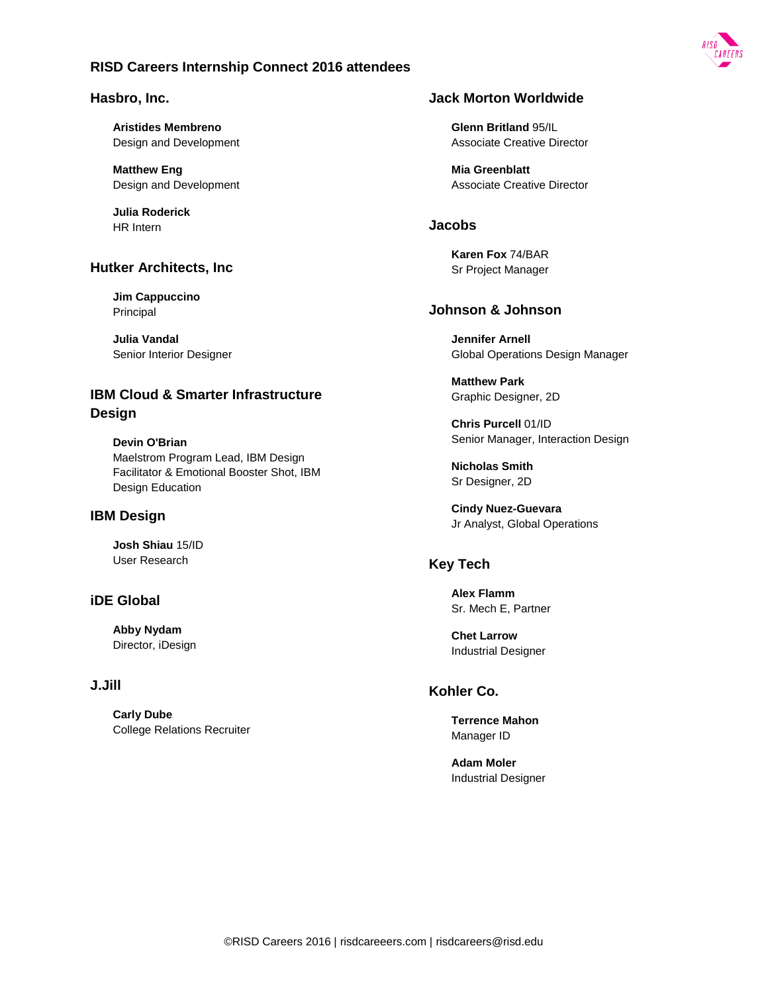#### **Hasbro, Inc.**

**Aristides Membreno** Design and Development

**Matthew Eng** Design and Development

**Julia Roderick** HR Intern

### **Hutker Architects, Inc**

**Jim Cappuccino** Principal

**Julia Vandal** Senior Interior Designer

# **IBM Cloud & Smarter Infrastructure Design**

**Devin O'Brian** Maelstrom Program Lead, IBM Design Facilitator & Emotional Booster Shot, IBM Design Education

### **IBM Design**

**Josh Shiau** 15/ID User Research

## **iDE Global**

**Abby Nydam** Director, iDesign

## **J.Jill**

**Carly Dube** College Relations Recruiter

## **Jack Morton Worldwide**

**Glenn Britland** 95/IL Associate Creative Director

**Mia Greenblatt** Associate Creative Director

#### **Jacobs**

**Karen Fox** 74/BAR Sr Project Manager

## **Johnson & Johnson**

**Jennifer Arnell** Global Operations Design Manager

**Matthew Park** Graphic Designer, 2D

**Chris Purcell** 01/ID Senior Manager, Interaction Design

**Nicholas Smith** Sr Designer, 2D

**Cindy Nuez-Guevara** Jr Analyst, Global Operations

### **Key Tech**

**Alex Flamm** Sr. Mech E, Partner

**Chet Larrow** Industrial Designer

### **Kohler Co.**

**Terrence Mahon** Manager ID

**Adam Moler** Industrial Designer

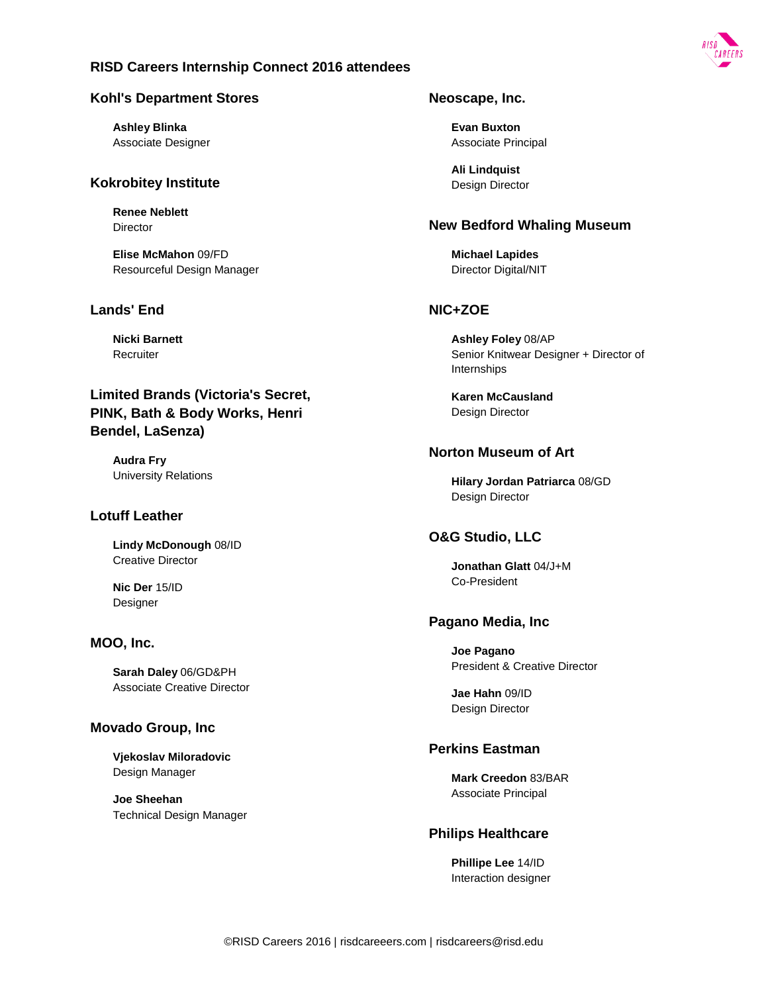

### **Kohl's Department Stores**

**Ashley Blinka** Associate Designer

## **Kokrobitey Institute**

**Renee Neblett Director** 

**Elise McMahon** 09/FD Resourceful Design Manager

## **Lands' End**

**Nicki Barnett Recruiter** 

# **Limited Brands (Victoria's Secret, PINK, Bath & Body Works, Henri Bendel, LaSenza)**

**Audra Fry** University Relations

## **Lotuff Leather**

**Lindy McDonough** 08/ID Creative Director

**Nic Der** 15/ID **Designer** 

### **MOO, Inc.**

**Sarah Daley** 06/GD&PH Associate Creative Director

## **Movado Group, Inc**

**Vjekoslav Miloradovic** Design Manager

**Joe Sheehan** Technical Design Manager

## **Neoscape, Inc.**

**Evan Buxton** Associate Principal

**Ali Lindquist** Design Director

### **New Bedford Whaling Museum**

**Michael Lapides** Director Digital/NIT

# **NIC+ZOE**

**Ashley Foley** 08/AP Senior Knitwear Designer + Director of Internships

**Karen McCausland** Design Director

## **Norton Museum of Art**

**Hilary Jordan Patriarca** 08/GD Design Director

## **O&G Studio, LLC**

**Jonathan Glatt** 04/J+M Co-President

## **Pagano Media, Inc**

**Joe Pagano** President & Creative Director

**Jae Hahn** 09/ID Design Director

## **Perkins Eastman**

**Mark Creedon** 83/BAR Associate Principal

## **Philips Healthcare**

**Phillipe Lee** 14/ID Interaction designer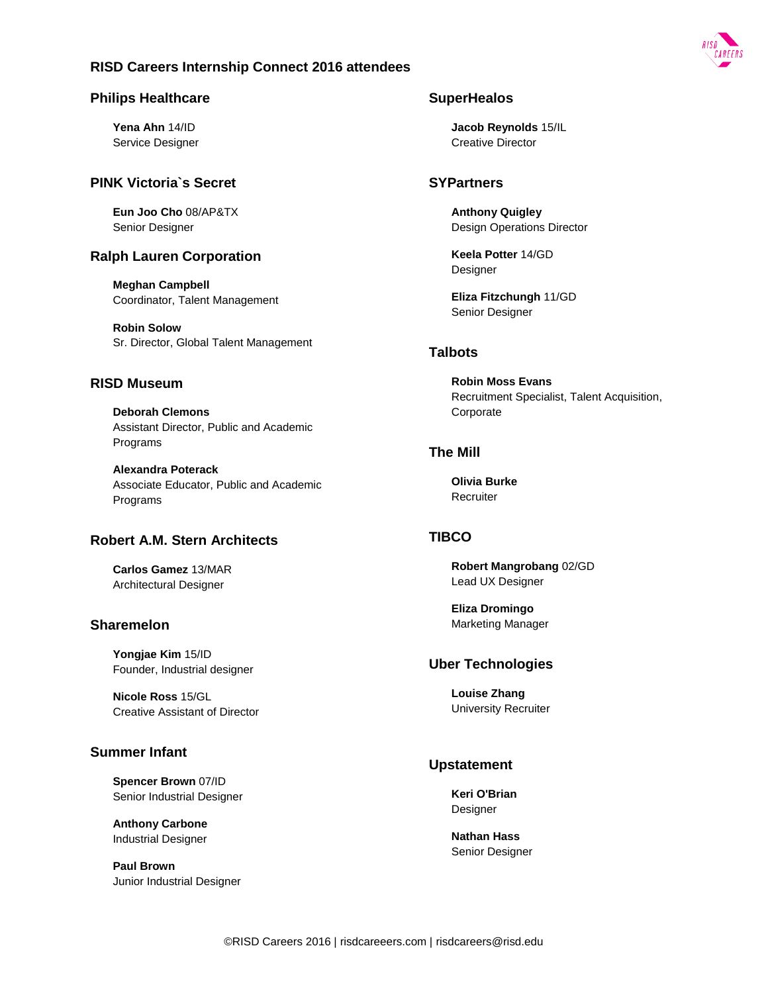

**Yena Ahn** 14/ID Service Designer

### **PINK Victoria`s Secret**

**Eun Joo Cho** 08/AP&TX Senior Designer

## **Ralph Lauren Corporation**

**Meghan Campbell** Coordinator, Talent Management

**Robin Solow** Sr. Director, Global Talent Management

### **RISD Museum**

**Deborah Clemons** Assistant Director, Public and Academic Programs

**Alexandra Poterack** Associate Educator, Public and Academic Programs

### **Robert A.M. Stern Architects**

**Carlos Gamez** 13/MAR Architectural Designer

#### **Sharemelon**

**Yongjae Kim** 15/ID Founder, Industrial designer

**Nicole Ross** 15/GL Creative Assistant of Director

### **Summer Infant**

**Spencer Brown** 07/ID Senior Industrial Designer

**Anthony Carbone** Industrial Designer

**Paul Brown** Junior Industrial Designer

### **SuperHealos**

**Jacob Reynolds** 15/IL Creative Director

### **SYPartners**

**Anthony Quigley** Design Operations Director

**Keela Potter** 14/GD Designer

**Eliza Fitzchungh** 11/GD Senior Designer

## **Talbots**

**Robin Moss Evans** Recruitment Specialist, Talent Acquisition, Corporate

### **The Mill**

**Olivia Burke Recruiter** 

### **TIBCO**

**Robert Mangrobang** 02/GD Lead UX Designer

**Eliza Dromingo** Marketing Manager

#### **Uber Technologies**

**Louise Zhang** University Recruiter

### **Upstatement**

**Keri O'Brian** Designer

**Nathan Hass** Senior Designer